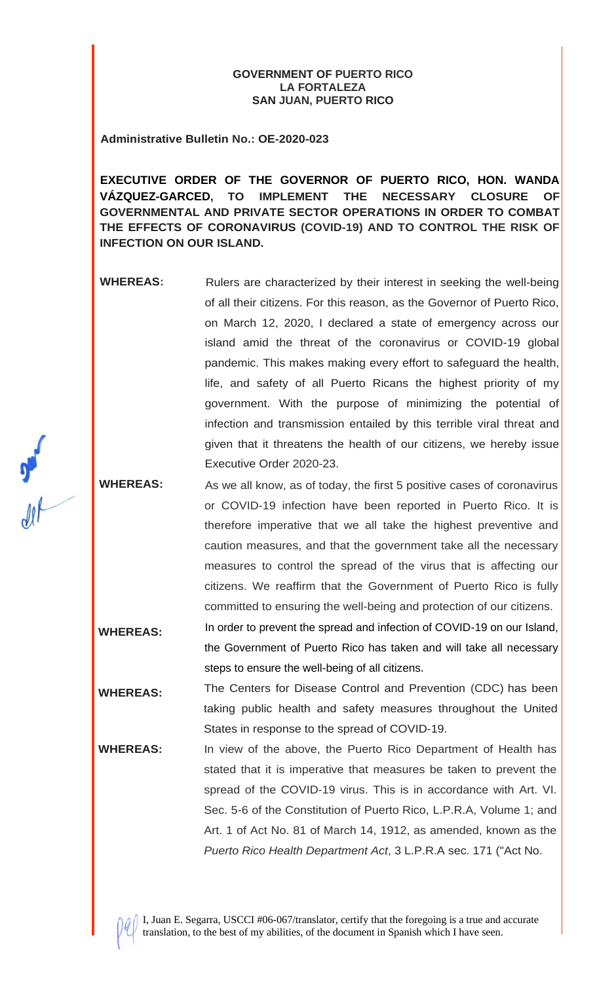## **GOVERNMENT OF PUERTO RICO LA FORTALEZA SAN JUAN, PUERTO RICO**

**Administrative Bulletin No.: OE-2020-023**

**EXECUTIVE ORDER OF THE GOVERNOR OF PUERTO RICO, HON. WANDA VÁZQUEZ-GARCED, TO IMPLEMENT THE NECESSARY CLOSURE OF GOVERNMENTAL AND PRIVATE SECTOR OPERATIONS IN ORDER TO COMBAT THE EFFECTS OF CORONAVIRUS (COVID-19) AND TO CONTROL THE RISK OF INFECTION ON OUR ISLAND.**

**WHEREAS:** Rulers are characterized by their interest in seeking the well-being of all their citizens. For this reason, as the Governor of Puerto Rico, on March 12, 2020, I declared a state of emergency across our island amid the threat of the coronavirus or COVID-19 global pandemic. This makes making every effort to safeguard the health, life, and safety of all Puerto Ricans the highest priority of my government. With the purpose of minimizing the potential of infection and transmission entailed by this terrible viral threat and given that it threatens the health of our citizens, we hereby issue Executive Order 2020-23.

**WHEREAS:** As we all know, as of today, the first 5 positive cases of coronavirus or COVID-19 infection have been reported in Puerto Rico. It is therefore imperative that we all take the highest preventive and caution measures, and that the government take all the necessary measures to control the spread of the virus that is affecting our citizens. We reaffirm that the Government of Puerto Rico is fully committed to ensuring the well-being and protection of our citizens.

**WHEREAS:** In order to prevent the spread and infection of COVID-19 on our Island, the Government of Puerto Rico has taken and will take all necessary steps to ensure the well-being of all citizens.

**WHEREAS:** The Centers for Disease Control and Prevention (CDC) has been taking public health and safety measures throughout the United States in response to the spread of COVID-19.

**WHEREAS:** In view of the above, the Puerto Rico Department of Health has stated that it is imperative that measures be taken to prevent the spread of the COVID-19 virus. This is in accordance with Art. VI. Sec. 5-6 of the Constitution of Puerto Rico, L.P.R.A, Volume 1; and Art. 1 of Act No. 81 of March 14, 1912, as amended, known as the *Puerto Rico Health Department Act*, 3 L.P.R.A sec. 171 ("Act No.

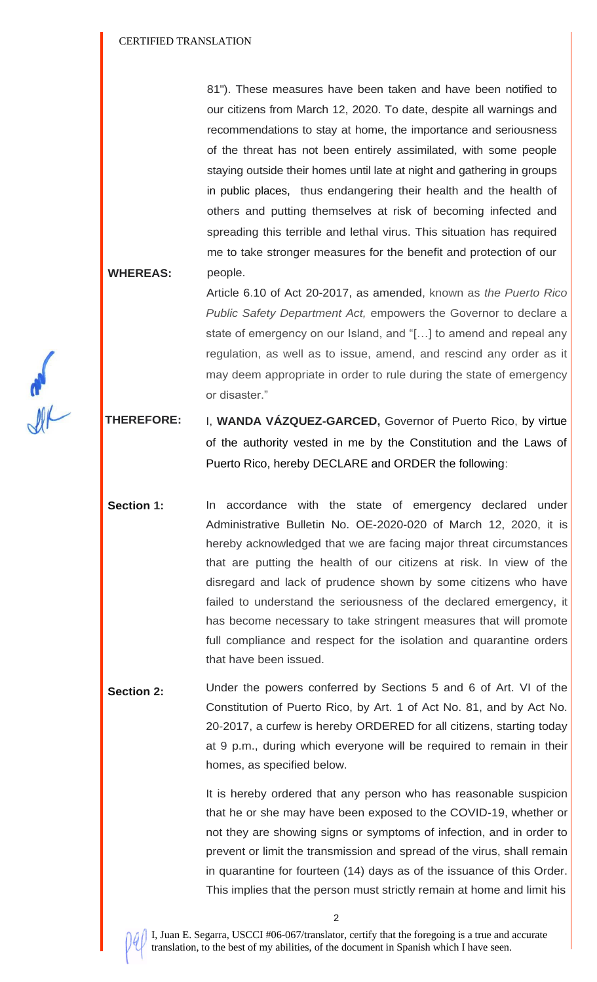81"). These measures have been taken and have been notified to our citizens from March 12, 2020. To date, despite all warnings and recommendations to stay at home, the importance and seriousness of the threat has not been entirely assimilated, with some people staying outside their homes until late at night and gathering in groups in public places, thus endangering their health and the health of others and putting themselves at risk of becoming infected and spreading this terrible and lethal virus. This situation has required me to take stronger measures for the benefit and protection of our people.

**WHEREAS:**

Article 6.10 of Act 20-2017, as amended, known as *the Puerto Rico Public Safety Department Act,* empowers the Governor to declare a state of emergency on our Island, and "[…] to amend and repeal any regulation, as well as to issue, amend, and rescind any order as it may deem appropriate in order to rule during the state of emergency or disaster."

 **THEREFORE:** I, **WANDA VÁZQUEZ-GARCED,** Governor of Puerto Rico, by virtue of the authority vested in me by the Constitution and the Laws of Puerto Rico, hereby DECLARE and ORDER the following:

**Section 1:** In accordance with the state of emergency declared under Administrative Bulletin No. OE-2020-020 of March 12, 2020, it is hereby acknowledged that we are facing major threat circumstances that are putting the health of our citizens at risk. In view of the disregard and lack of prudence shown by some citizens who have failed to understand the seriousness of the declared emergency, it has become necessary to take stringent measures that will promote full compliance and respect for the isolation and quarantine orders that have been issued.

**Section 2:** Under the powers conferred by Sections 5 and 6 of Art. VI of the Constitution of Puerto Rico, by Art. 1 of Act No. 81, and by Act No. 20-2017, a curfew is hereby ORDERED for all citizens, starting today at 9 p.m., during which everyone will be required to remain in their homes, as specified below.

> It is hereby ordered that any person who has reasonable suspicion that he or she may have been exposed to the COVID-19, whether or not they are showing signs or symptoms of infection, and in order to prevent or limit the transmission and spread of the virus, shall remain in quarantine for fourteen (14) days as of the issuance of this Order. This implies that the person must strictly remain at home and limit his



I, Juan E. Segarra, USCCI #06-067/translator, certify that the foregoing is a true and accurate translation, to the best of my abilities, of the document in Spanish which I have seen.

2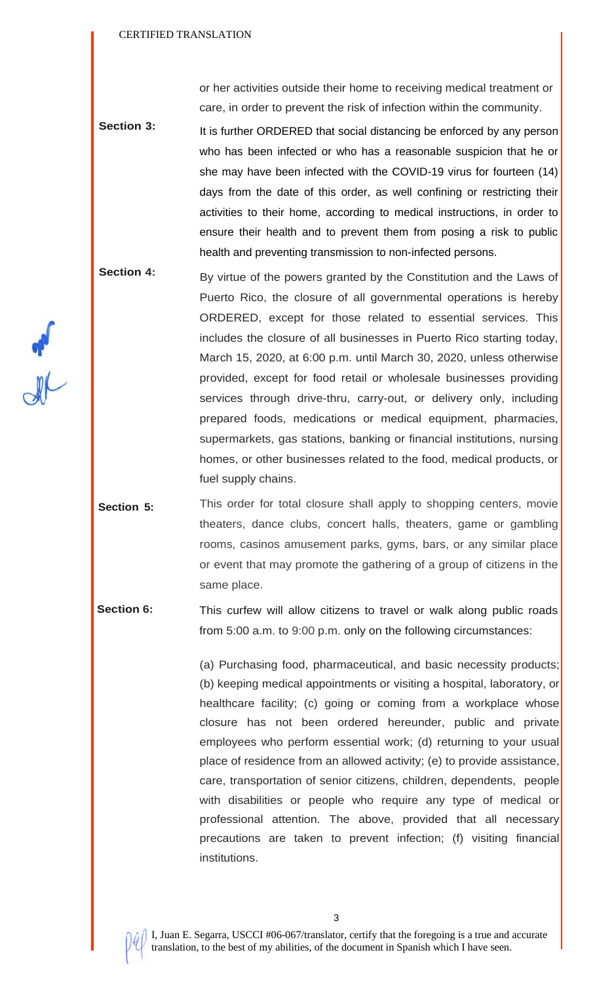or her activities outside their home to receiving medical treatment or care, in order to prevent the risk of infection within the community.

- **Section 3:** It is further ORDERED that social distancing be enforced by any person who has been infected or who has a reasonable suspicion that he or she may have been infected with the COVID-19 virus for fourteen (14) days from the date of this order, as well confining or restricting their activities to their home, according to medical instructions, in order to ensure their health and to prevent them from posing a risk to public health and preventing transmission to non-infected persons.
- **Section 4:** By virtue of the powers granted by the Constitution and the Laws of Puerto Rico, the closure of all governmental operations is hereby ORDERED, except for those related to essential services. This includes the closure of all businesses in Puerto Rico starting today, March 15, 2020, at 6:00 p.m. until March 30, 2020, unless otherwise provided, except for food retail or wholesale businesses providing services through drive-thru, carry-out, or delivery only, including prepared foods, medications or medical equipment, pharmacies, supermarkets, gas stations, banking or financial institutions, nursing homes, or other businesses related to the food, medical products, or fuel supply chains.
- **Section 5:** This order for total closure shall apply to shopping centers, movie theaters, dance clubs, concert halls, theaters, game or gambling rooms, casinos amusement parks, gyms, bars, or any similar place or event that may promote the gathering of a group of citizens in the same place.

 **Section 6:** This curfew will allow citizens to travel or walk along public roads from 5:00 a.m. to 9:00 p.m. only on the following circumstances:

> (a) Purchasing food, pharmaceutical, and basic necessity products; (b) keeping medical appointments or visiting a hospital, laboratory, or healthcare facility; (c) going or coming from a workplace whose closure has not been ordered hereunder, public and private employees who perform essential work; (d) returning to your usual place of residence from an allowed activity; (e) to provide assistance, care, transportation of senior citizens, children, dependents, people with disabilities or people who require any type of medical or professional attention. The above, provided that all necessary precautions are taken to prevent infection; (f) visiting financial institutions.



I, Juan E. Segarra, USCCI #06-067/translator, certify that the foregoing is a true and accurate translation, to the best of my abilities, of the document in Spanish which I have seen.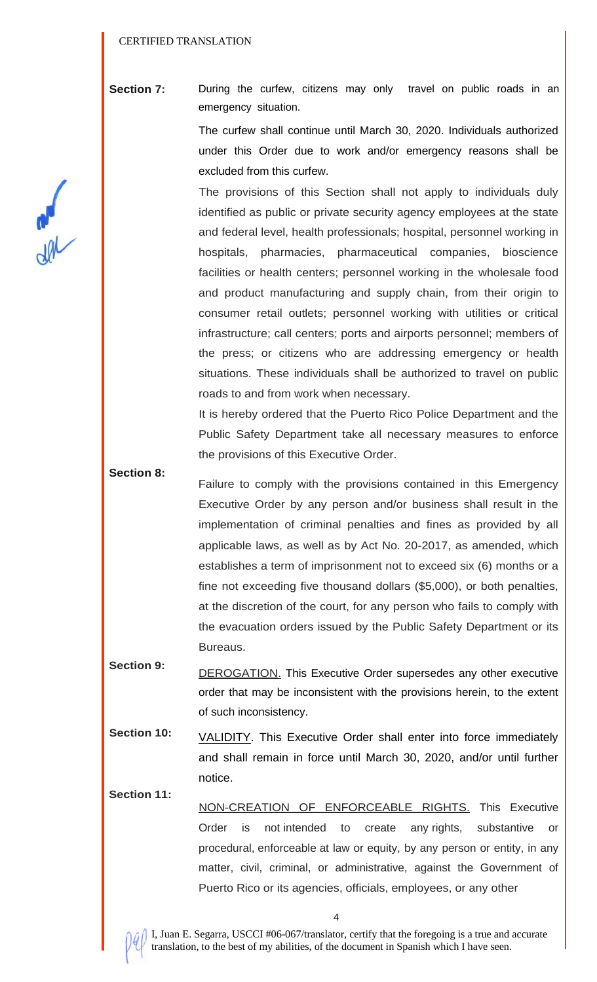**Section 7:** During the curfew, citizens may only travel on public roads in an emergency situation.

> The curfew shall continue until March 30, 2020. Individuals authorized under this Order due to work and/or emergency reasons shall be excluded from this curfew.

> The provisions of this Section shall not apply to individuals duly identified as public or private security agency employees at the state and federal level, health professionals; hospital, personnel working in hospitals, pharmacies, pharmaceutical companies, bioscience facilities or health centers; personnel working in the wholesale food and product manufacturing and supply chain, from their origin to consumer retail outlets; personnel working with utilities or critical infrastructure; call centers; ports and airports personnel; members of the press; or citizens who are addressing emergency or health situations. These individuals shall be authorized to travel on public roads to and from work when necessary.

> It is hereby ordered that the Puerto Rico Police Department and the Public Safety Department take all necessary measures to enforce the provisions of this Executive Order.

- **Section 8:** Failure to comply with the provisions contained in this Emergency Executive Order by any person and/or business shall result in the implementation of criminal penalties and fines as provided by all applicable laws, as well as by Act No. 20-2017, as amended, which establishes a term of imprisonment not to exceed six (6) months or a fine not exceeding five thousand dollars (\$5,000), or both penalties, at the discretion of the court, for any person who fails to comply with the evacuation orders issued by the Public Safety Department or its Bureaus.
- **Section 9:** DEROGATION. This Executive Order supersedes any other executive order that may be inconsistent with the provisions herein, to the extent of such inconsistency.
- **Section 10:** VALIDITY. This Executive Order shall enter into force immediately and shall remain in force until March 30, 2020, and/or until further notice.
- **Section 11:** NON-CREATION OF ENFORCEABLE RIGHTS. This Executive Order is not intended to create any rights, substantive or procedural, enforceable at law or equity, by any person or entity, in any matter, civil, criminal, or administrative, against the Government of Puerto Rico or its agencies, officials, employees, or any other



I, Juan E. Segarra, USCCI #06-067/translator, certify that the foregoing is a true and accurate translation, to the best of my abilities, of the document in Spanish which I have seen.